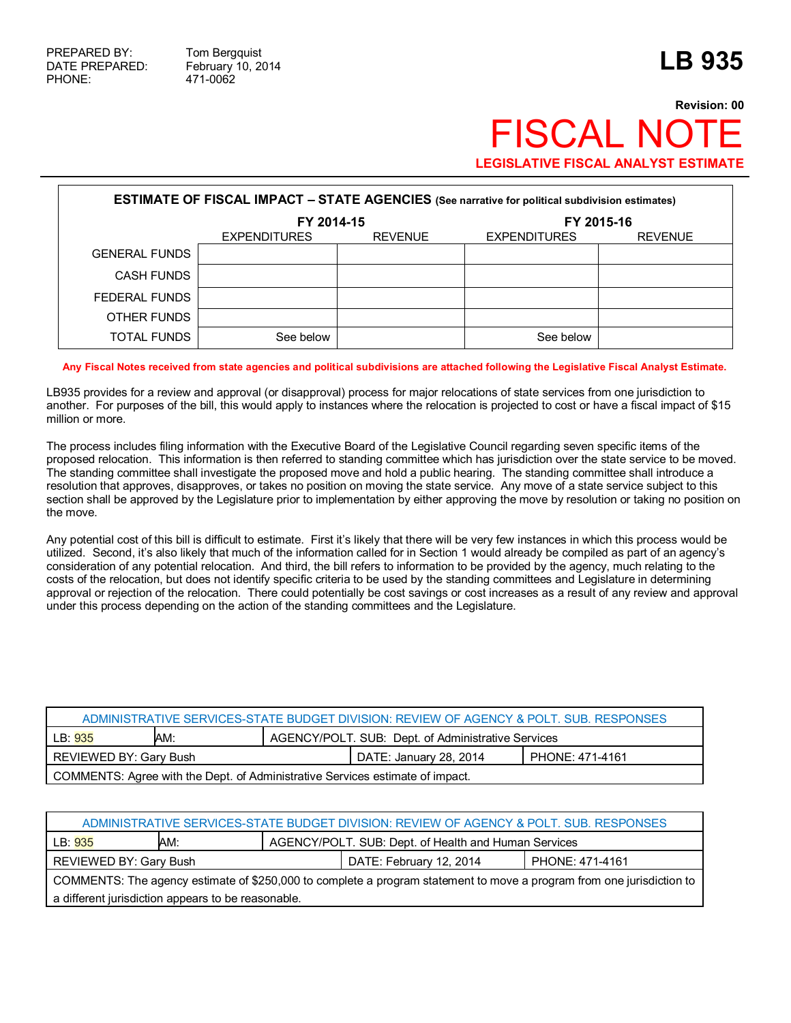## **Revision: 00 FISCAL NO LEGISLATIVE FISCAL ANALYST ESTIMATE**

| <b>ESTIMATE OF FISCAL IMPACT - STATE AGENCIES</b> (See narrative for political subdivision estimates) |                     |                |                     |                |  |
|-------------------------------------------------------------------------------------------------------|---------------------|----------------|---------------------|----------------|--|
|                                                                                                       | FY 2014-15          |                | FY 2015-16          |                |  |
|                                                                                                       | <b>EXPENDITURES</b> | <b>REVENUE</b> | <b>EXPENDITURES</b> | <b>REVENUE</b> |  |
| <b>GENERAL FUNDS</b>                                                                                  |                     |                |                     |                |  |
| <b>CASH FUNDS</b>                                                                                     |                     |                |                     |                |  |
| FEDERAL FUNDS                                                                                         |                     |                |                     |                |  |
| OTHER FUNDS                                                                                           |                     |                |                     |                |  |
| TOTAL FUNDS                                                                                           | See below           |                | See below           |                |  |

## **Any Fiscal Notes received from state agencies and political subdivisions are attached following the Legislative Fiscal Analyst Estimate.**

LB935 provides for a review and approval (or disapproval) process for major relocations of state services from one jurisdiction to another. For purposes of the bill, this would apply to instances where the relocation is projected to cost or have a fiscal impact of \$15 million or more.

The process includes filing information with the Executive Board of the Legislative Council regarding seven specific items of the proposed relocation. This information is then referred to standing committee which has jurisdiction over the state service to be moved. The standing committee shall investigate the proposed move and hold a public hearing. The standing committee shall introduce a resolution that approves, disapproves, or takes no position on moving the state service. Any move of a state service subject to this section shall be approved by the Legislature prior to implementation by either approving the move by resolution or taking no position on the move.

Any potential cost of this bill is difficult to estimate. First it's likely that there will be very few instances in which this process would be utilized. Second, it's also likely that much of the information called for in Section 1 would already be compiled as part of an agency's consideration of any potential relocation. And third, the bill refers to information to be provided by the agency, much relating to the costs of the relocation, but does not identify specific criteria to be used by the standing committees and Legislature in determining approval or rejection of the relocation. There could potentially be cost savings or cost increases as a result of any review and approval under this process depending on the action of the standing committees and the Legislature.

| ADMINISTRATIVE SERVICES-STATE BUDGET DIVISION: REVIEW OF AGENCY & POLT. SUB. RESPONSES |  |  |                        |                 |  |
|----------------------------------------------------------------------------------------|--|--|------------------------|-----------------|--|
| AGENCY/POLT. SUB: Dept. of Administrative Services<br>AM:<br>LB: 935                   |  |  |                        |                 |  |
| REVIEWED BY: Gary Bush                                                                 |  |  | DATE: January 28, 2014 | PHONE: 471-4161 |  |
| COMMENTS: Agree with the Dept. of Administrative Services estimate of impact.          |  |  |                        |                 |  |

| ADMINISTRATIVE SERVICES-STATE BUDGET DIVISION: REVIEW OF AGENCY & POLT. SUB. RESPONSES                                |                                                             |  |                         |                 |  |
|-----------------------------------------------------------------------------------------------------------------------|-------------------------------------------------------------|--|-------------------------|-----------------|--|
| LB: 935                                                                                                               | AGENCY/POLT. SUB: Dept. of Health and Human Services<br>AM: |  |                         |                 |  |
| REVIEWED BY: Gary Bush                                                                                                |                                                             |  | DATE: February 12, 2014 | PHONE: 471-4161 |  |
| COMMENTS: The agency estimate of \$250,000 to complete a program statement to move a program from one jurisdiction to |                                                             |  |                         |                 |  |
| a different jurisdiction appears to be reasonable.                                                                    |                                                             |  |                         |                 |  |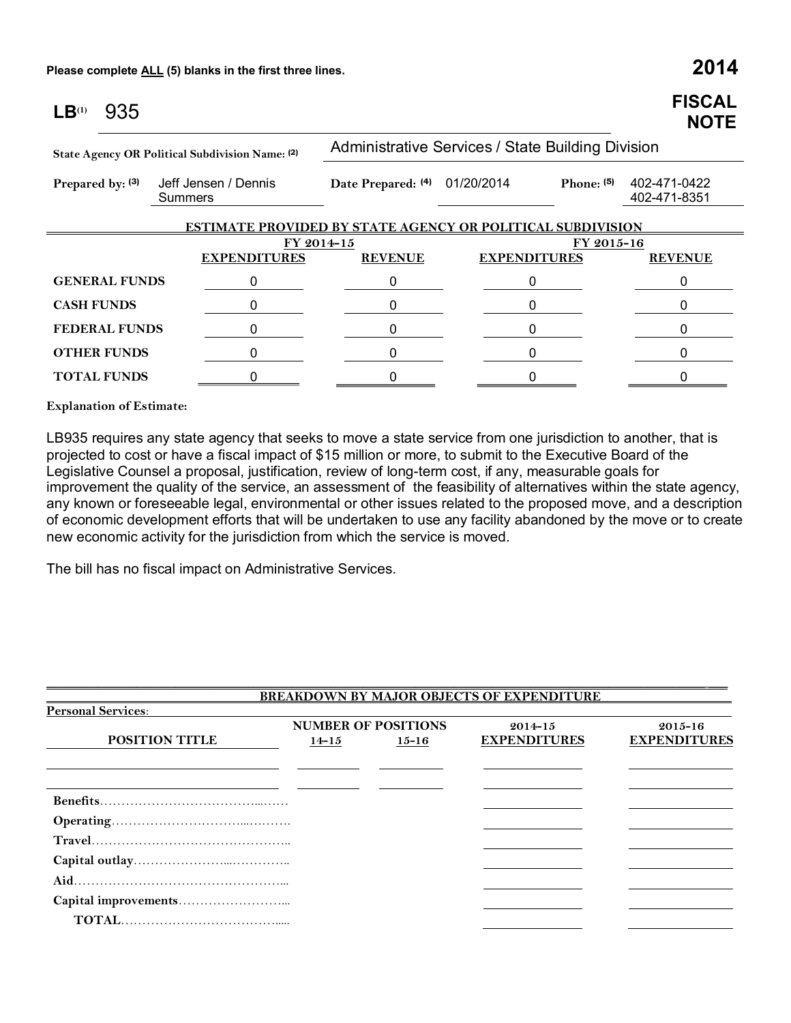| 935<br>LB <sup>(1)</sup>                        |                                                                   |                                                   |                     | <b>FISCAL</b><br><b>NOTE</b> |  |  |  |
|-------------------------------------------------|-------------------------------------------------------------------|---------------------------------------------------|---------------------|------------------------------|--|--|--|
| State Agency OR Political Subdivision Name: (2) |                                                                   | Administrative Services / State Building Division |                     |                              |  |  |  |
| Prepared by: (3)                                | Jeff Jensen / Dennis<br>Summers                                   | Date Prepared: (4) 01/20/2014                     | Phone: $(5)$        | 402-471-0422<br>402-471-8351 |  |  |  |
|                                                 | <b>ESTIMATE PROVIDED BY STATE AGENCY OR POLITICAL SUBDIVISION</b> |                                                   |                     |                              |  |  |  |
| FY 2014-15                                      |                                                                   | FY 2015-16                                        |                     |                              |  |  |  |
|                                                 | <b>EXPENDITURES</b>                                               | <b>REVENUE</b>                                    | <b>EXPENDITURES</b> | <b>REVENUE</b>               |  |  |  |
| <b>GENERAL FUNDS</b>                            | 0                                                                 | 0                                                 | 0                   | 0                            |  |  |  |
| <b>CASH FUNDS</b>                               | 0                                                                 | 0                                                 | 0                   | 0                            |  |  |  |
| <b>FEDERAL FUNDS</b>                            | 0                                                                 | 0                                                 | 0                   | 0                            |  |  |  |
| <b>OTHER FUNDS</b>                              | 0                                                                 | 0                                                 | 0                   | ი                            |  |  |  |
| <b>TOTAL FUNDS</b>                              |                                                                   |                                                   |                     |                              |  |  |  |

**Explanation of Estimate:**

LB935 requires any state agency that seeks to move a state service from one jurisdiction to another, that is projected to cost or have a fiscal impact of \$15 million or more, to submit to the Executive Board of the Legislative Counsel a proposal, justification, review of long-term cost, if any, measurable goals for improvement the quality of the service, an assessment of the feasibility of alternatives within the state agency, any known or foreseeable legal, environmental or other issues related to the proposed move, and a description of economic development efforts that will be undertaken to use any facility abandoned by the move or to create new economic activity for the jurisdiction from which the service is moved.

The bill has no fiscal impact on Administrative Services.

|                           |           |                            | <b>BREAKDOWN BY MAJOR OBJECTS OF EXPENDITURE</b> |                     |
|---------------------------|-----------|----------------------------|--------------------------------------------------|---------------------|
| <b>Personal Services:</b> |           |                            |                                                  |                     |
|                           |           | <b>NUMBER OF POSITIONS</b> | $2014 - 15$                                      | $2015 - 16$         |
| <b>POSITION TITLE</b>     | $14 - 15$ | $15 - 16$                  | <b>EXPENDITURES</b>                              | <b>EXPENDITURES</b> |
|                           |           |                            |                                                  |                     |
|                           |           |                            |                                                  |                     |
|                           |           |                            |                                                  |                     |
|                           |           |                            |                                                  |                     |
|                           |           |                            |                                                  |                     |
|                           |           |                            |                                                  |                     |
|                           |           |                            |                                                  |                     |
|                           |           |                            |                                                  |                     |